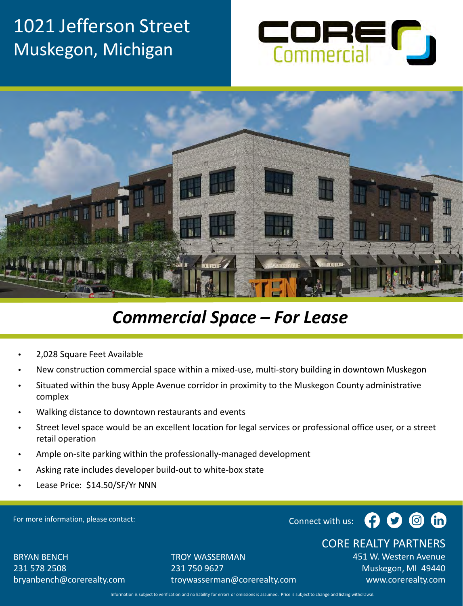



## *Commercial Space – For Lease*

- 2,028 Square Feet Available
- New construction commercial space within a mixed-use, multi-story building in downtown Muskegon
- Situated within the busy Apple Avenue corridor in proximity to the Muskegon County administrative complex
- Walking distance to downtown restaurants and events
- Street level space would be an excellent location for legal services or professional office user, or a street retail operation
- Ample on-site parking within the professionally-managed development
- Asking rate includes developer build-out to white-box state
- Lease Price: \$14.50/SF/Yr NNN

For more information, please contact:



#### CORE REALTY PARTNERS

BRYAN BENCH 231 578 2508 bryanbench@corerealty.com TROY WASSERMAN 231 750 9627 troywasserman@corerealty.com 451 W. Western Avenue Muskegon, MI 49440 www.corerealty.com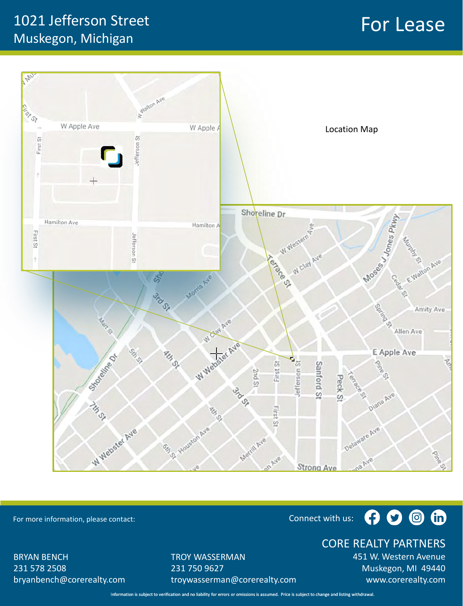## For Lease 1021 Jefferson Street Muskegon, Michigan



For more information, please contact: Connect with us: Connect with us:

#### $O$   $\circ$   $\circ$ 0

CORE REALTY PARTNERS

BRYAN BENCH 231 578 2508 bryanbench@corerealty.com TROY WASSERMAN 231 750 9627 troywasserman@corerealty.com 451 W. Western Avenue Muskegon, MI 49440 www.corerealty.com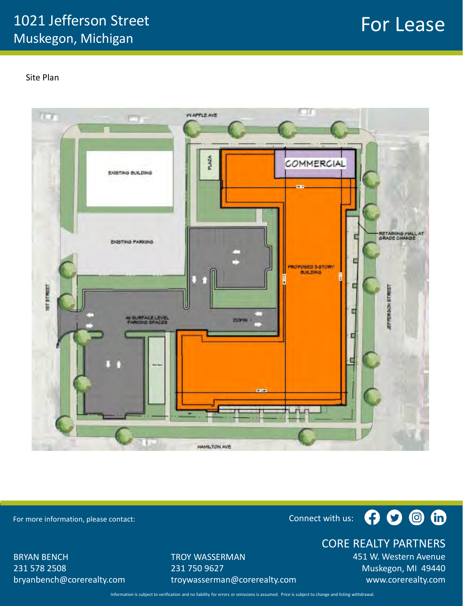## For Lease

Site Plan



For more information, please contact: Connect with us: Connect with us:

 $O$   $O$   $O$ 

BRYAN BENCH 231 578 2508 bryanbench@corerealty.com TROY WASSERMAN 231 750 9627 troywasserman@corerealty.com CORE REALTY PARTNERS

451 W. Western Avenue Muskegon, MI 49440 www.corerealty.com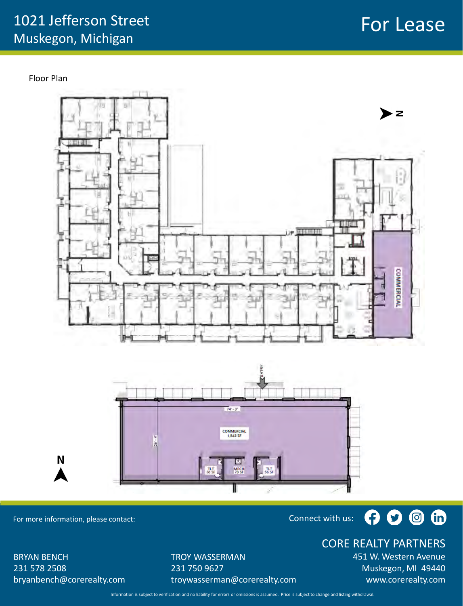Floor Plan





For more information, please contact: Connect with us: Connect with us:

N

## $O$  o o  $O$

BRYAN BENCH 231 578 2508 bryanbench@corerealty.com TROY WASSERMAN 231 750 9627 troywasserman@corerealty.com CORE REALTY PARTNERS

451 W. Western Avenue Muskegon, MI 49440 www.corerealty.com

## For Lease